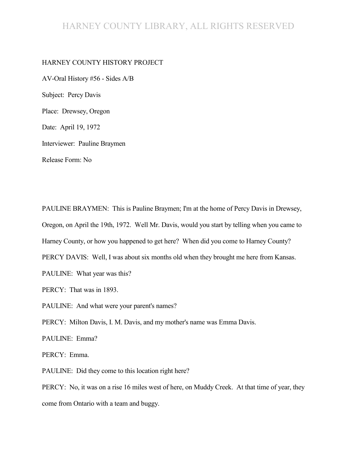### HARNEY COUNTY LIBRARY, ALL RIGHTS RESERVED

#### HARNEY COUNTY HISTORY PROJECT

AV-Oral History #56 - Sides A/B Subject: Percy Davis Place: Drewsey, Oregon Date: April 19, 1972 Interviewer: Pauline Braymen Release Form: No

PAULINE BRAYMEN: This is Pauline Braymen; I'm at the home of Percy Davis in Drewsey, Oregon, on April the 19th, 1972. Well Mr. Davis, would you start by telling when you came to Harney County, or how you happened to get here? When did you come to Harney County? PERCY DAVIS: Well, I was about six months old when they brought me here from Kansas. PAULINE: What year was this? PERCY: That was in 1893. PAULINE: And what were your parent's names? PERCY: Milton Davis, I. M. Davis, and my mother's name was Emma Davis. PAULINE: Emma? PERCY: Emma. PAULINE: Did they come to this location right here?

PERCY: No, it was on a rise 16 miles west of here, on Muddy Creek. At that time of year, they come from Ontario with a team and buggy.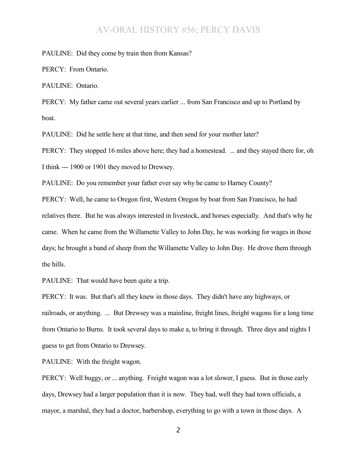PAULINE: Did they come by train then from Kansas?

PERCY: From Ontario.

PAULINE: Ontario.

PERCY: My father came out several years earlier ... from San Francisco and up to Portland by boat.

PAULINE: Did he settle here at that time, and then send for your mother later?

PERCY: They stopped 16 miles above here; they had a homestead. ... and they stayed there for, oh I think --- 1900 or 1901 they moved to Drewsey.

PAULINE: Do you remember your father ever say why he came to Harney County?

PERCY: Well, he came to Oregon first, Western Oregon by boat from San Francisco, he had relatives there. But he was always interested in livestock, and horses especially. And that's why he came. When he came from the Willamette Valley to John Day, he was working for wages in those days; he brought a band of sheep from the Willamette Valley to John Day. He drove them through the hills.

PAULINE: That would have been quite a trip.

PERCY: It was. But that's all they knew in those days. They didn't have any highways, or railroads, or anything. ... But Drewsey was a mainline, freight lines, freight wagons for a long time from Ontario to Burns. It took several days to make a, to bring it through. Three days and nights I guess to get from Ontario to Drewsey.

PAULINE: With the freight wagon.

PERCY: Well buggy, or ... anything. Freight wagon was a lot slower, I guess. But in those early days, Drewsey had a larger population than it is now. They had, well they had town officials, a mayor, a marshal, they had a doctor, barbershop, everything to go with a town in those days. A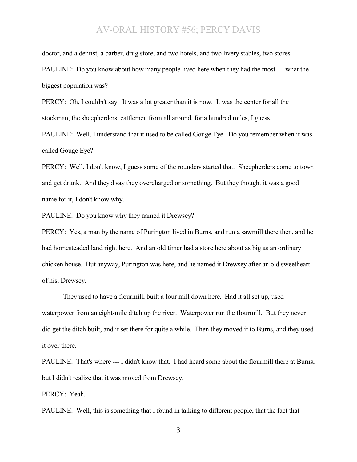doctor, and a dentist, a barber, drug store, and two hotels, and two livery stables, two stores. PAULINE: Do you know about how many people lived here when they had the most --- what the biggest population was?

PERCY: Oh, I couldn't say. It was a lot greater than it is now. It was the center for all the stockman, the sheepherders, cattlemen from all around, for a hundred miles, I guess.

PAULINE: Well, I understand that it used to be called Gouge Eye. Do you remember when it was called Gouge Eye?

PERCY: Well, I don't know, I guess some of the rounders started that. Sheepherders come to town and get drunk. And they'd say they overcharged or something. But they thought it was a good name for it, I don't know why.

PAULINE: Do you know why they named it Drewsey?

PERCY: Yes, a man by the name of Purington lived in Burns, and run a sawmill there then, and he had homesteaded land right here. And an old timer had a store here about as big as an ordinary chicken house. But anyway, Purington was here, and he named it Drewsey after an old sweetheart of his, Drewsey.

They used to have a flourmill, built a four mill down here. Had it all set up, used waterpower from an eight-mile ditch up the river. Waterpower run the flourmill. But they never did get the ditch built, and it set there for quite a while. Then they moved it to Burns, and they used it over there.

PAULINE: That's where --- I didn't know that. I had heard some about the flourmill there at Burns, but I didn't realize that it was moved from Drewsey.

PERCY: Yeah.

PAULINE: Well, this is something that I found in talking to different people, that the fact that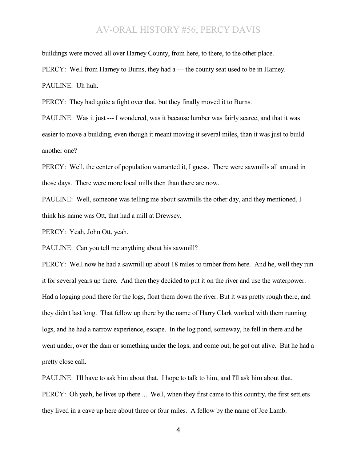buildings were moved all over Harney County, from here, to there, to the other place.

PERCY: Well from Harney to Burns, they had a --- the county seat used to be in Harney.

PAULINE: Uh huh.

PERCY: They had quite a fight over that, but they finally moved it to Burns.

PAULINE: Was it just --- I wondered, was it because lumber was fairly scarce, and that it was easier to move a building, even though it meant moving it several miles, than it was just to build another one?

PERCY: Well, the center of population warranted it, I guess. There were sawmills all around in those days. There were more local mills then than there are now.

PAULINE: Well, someone was telling me about sawmills the other day, and they mentioned, I think his name was Ott, that had a mill at Drewsey.

PERCY: Yeah, John Ott, yeah.

PAULINE: Can you tell me anything about his sawmill?

PERCY: Well now he had a sawmill up about 18 miles to timber from here. And he, well they run it for several years up there. And then they decided to put it on the river and use the waterpower. Had a logging pond there for the logs, float them down the river. But it was pretty rough there, and they didn't last long. That fellow up there by the name of Harry Clark worked with them running logs, and he had a narrow experience, escape. In the log pond, someway, he fell in there and he went under, over the dam or something under the logs, and come out, he got out alive. But he had a pretty close call.

PAULINE: I'll have to ask him about that. I hope to talk to him, and I'll ask him about that. PERCY: Oh yeah, he lives up there ... Well, when they first came to this country, the first settlers they lived in a cave up here about three or four miles. A fellow by the name of Joe Lamb.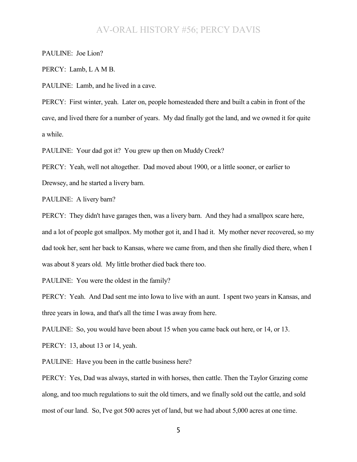PAULINE: Joe Lion?

PERCY: Lamb, L A M B.

PAULINE: Lamb, and he lived in a cave.

PERCY: First winter, yeah. Later on, people homesteaded there and built a cabin in front of the cave, and lived there for a number of years. My dad finally got the land, and we owned it for quite a while.

PAULINE: Your dad got it? You grew up then on Muddy Creek?

PERCY: Yeah, well not altogether. Dad moved about 1900, or a little sooner, or earlier to Drewsey, and he started a livery barn.

PAULINE: A livery barn?

PERCY: They didn't have garages then, was a livery barn. And they had a smallpox scare here, and a lot of people got smallpox. My mother got it, and I had it. My mother never recovered, so my dad took her, sent her back to Kansas, where we came from, and then she finally died there, when I was about 8 years old. My little brother died back there too.

PAULINE: You were the oldest in the family?

PERCY: Yeah. And Dad sent me into Iowa to live with an aunt. I spent two years in Kansas, and three years in Iowa, and that's all the time I was away from here.

PAULINE: So, you would have been about 15 when you came back out here, or 14, or 13.

PERCY: 13, about 13 or 14, yeah.

PAULINE: Have you been in the cattle business here?

PERCY: Yes, Dad was always, started in with horses, then cattle. Then the Taylor Grazing come along, and too much regulations to suit the old timers, and we finally sold out the cattle, and sold most of our land. So, I've got 500 acres yet of land, but we had about 5,000 acres at one time.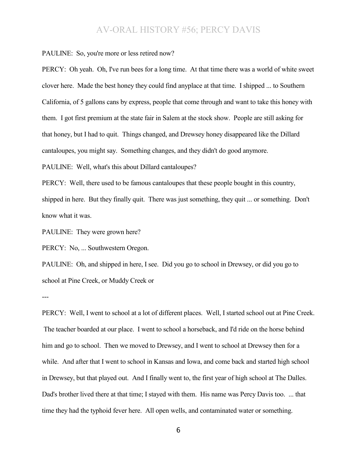PAULINE: So, you're more or less retired now?

PERCY: Oh yeah. Oh, I've run bees for a long time. At that time there was a world of white sweet clover here. Made the best honey they could find anyplace at that time. I shipped ... to Southern California, of 5 gallons cans by express, people that come through and want to take this honey with them. I got first premium at the state fair in Salem at the stock show. People are still asking for that honey, but I had to quit. Things changed, and Drewsey honey disappeared like the Dillard cantaloupes, you might say. Something changes, and they didn't do good anymore.

PAULINE: Well, what's this about Dillard cantaloupes?

PERCY: Well, there used to be famous cantaloupes that these people bought in this country, shipped in here. But they finally quit. There was just something, they quit ... or something. Don't know what it was.

PAULINE: They were grown here?

PERCY: No, ... Southwestern Oregon.

PAULINE: Oh, and shipped in here, I see. Did you go to school in Drewsey, or did you go to school at Pine Creek, or Muddy Creek or

---

PERCY: Well, I went to school at a lot of different places. Well, I started school out at Pine Creek. The teacher boarded at our place. I went to school a horseback, and I'd ride on the horse behind him and go to school. Then we moved to Drewsey, and I went to school at Drewsey then for a while. And after that I went to school in Kansas and Iowa, and come back and started high school in Drewsey, but that played out. And I finally went to, the first year of high school at The Dalles. Dad's brother lived there at that time; I stayed with them. His name was Percy Davis too. ... that time they had the typhoid fever here. All open wells, and contaminated water or something.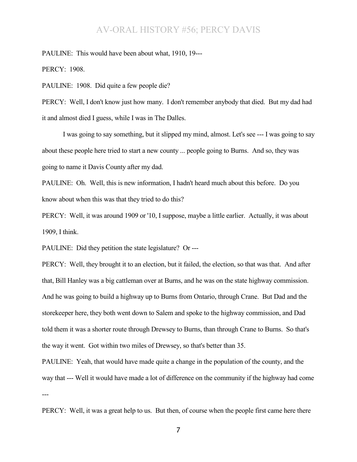PAULINE: This would have been about what, 1910, 19---

PERCY: 1908.

PAULINE: 1908. Did quite a few people die?

PERCY: Well, I don't know just how many. I don't remember anybody that died. But my dad had it and almost died I guess, while I was in The Dalles.

I was going to say something, but it slipped my mind, almost. Let's see --- I was going to say about these people here tried to start a new county ... people going to Burns. And so, they was going to name it Davis County after my dad.

PAULINE: Oh. Well, this is new information, I hadn't heard much about this before. Do you know about when this was that they tried to do this?

PERCY: Well, it was around 1909 or '10, I suppose, maybe a little earlier. Actually, it was about 1909, I think.

PAULINE: Did they petition the state legislature? Or ---

PERCY: Well, they brought it to an election, but it failed, the election, so that was that. And after that, Bill Hanley was a big cattleman over at Burns, and he was on the state highway commission. And he was going to build a highway up to Burns from Ontario, through Crane. But Dad and the storekeeper here, they both went down to Salem and spoke to the highway commission, and Dad told them it was a shorter route through Drewsey to Burns, than through Crane to Burns. So that's the way it went. Got within two miles of Drewsey, so that's better than 35.

PAULINE: Yeah, that would have made quite a change in the population of the county, and the way that --- Well it would have made a lot of difference on the community if the highway had come ---

PERCY: Well, it was a great help to us. But then, of course when the people first came here there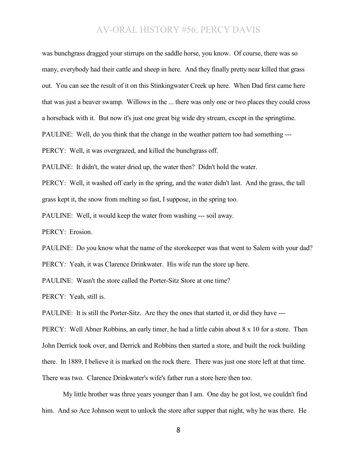was bunchgrass dragged your stirrups on the saddle horse, you know. Of course, there was so many, everybody had their cattle and sheep in here. And they finally pretty near killed that grass out. You can see the result of it on this Stinkingwater Creek up here. When Dad first came here that was just a beaver swamp. Willows in the ... there was only one or two places they could cross a horseback with it. But now it's just one great big wide dry stream, except in the springtime. PAULINE: Well, do you think that the change in the weather pattern too had something --- PERCY: Well, it was overgrazed, and killed the bunchgrass off.

PAULINE: It didn't, the water dried up, the water then? Didn't hold the water.

PERCY: Well, it washed off early in the spring, and the water didn't last. And the grass, the tall grass kept it, the snow from melting so fast, I suppose, in the spring too.

PAULINE: Well, it would keep the water from washing --- soil away.

PERCY: Erosion.

PAULINE: Do you know what the name of the storekeeper was that went to Salem with your dad? PERCY: Yeah, it was Clarence Drinkwater. His wife run the store up here.

PAULINE: Wasn't the store called the Porter-Sitz Store at one time?

PERCY: Yeah, still is.

PAULINE: It is still the Porter-Sitz. Are they the ones that started it, or did they have ---

PERCY: Well Abner Robbins, an early timer, he had a little cabin about 8 x 10 for a store. Then John Derrick took over, and Derrick and Robbins then started a store, and built the rock building there. In 1889, I believe it is marked on the rock there. There was just one store left at that time. There was two. Clarence Drinkwater's wife's father run a store here then too.

My little brother was three years younger than I am. One day he got lost, we couldn't find him. And so Ace Johnson went to unlock the store after supper that night, why he was there. He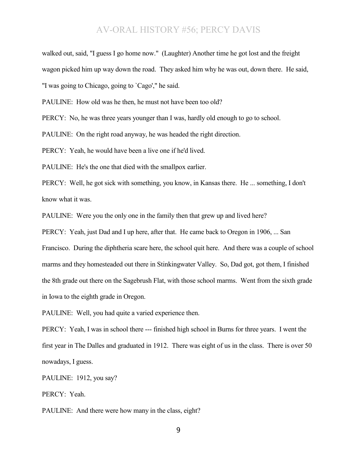walked out, said, "I guess I go home now." (Laughter) Another time he got lost and the freight wagon picked him up way down the road. They asked him why he was out, down there. He said, "I was going to Chicago, going to `Cago'," he said.

PAULINE: How old was he then, he must not have been too old?

PERCY: No, he was three years younger than I was, hardly old enough to go to school.

PAULINE: On the right road anyway, he was headed the right direction.

PERCY: Yeah, he would have been a live one if he'd lived.

PAULINE: He's the one that died with the smallpox earlier.

PERCY: Well, he got sick with something, you know, in Kansas there. He ... something, I don't know what it was.

PAULINE: Were you the only one in the family then that grew up and lived here?

PERCY: Yeah, just Dad and I up here, after that. He came back to Oregon in 1906, ... San Francisco. During the diphtheria scare here, the school quit here. And there was a couple of school marms and they homesteaded out there in Stinkingwater Valley. So, Dad got, got them, I finished the 8th grade out there on the Sagebrush Flat, with those school marms. Went from the sixth grade in Iowa to the eighth grade in Oregon.

PAULINE: Well, you had quite a varied experience then.

PERCY: Yeah, I was in school there --- finished high school in Burns for three years. I went the first year in The Dalles and graduated in 1912. There was eight of us in the class. There is over 50 nowadays, I guess.

PAULINE: 1912, you say?

PERCY: Yeah.

PAULINE: And there were how many in the class, eight?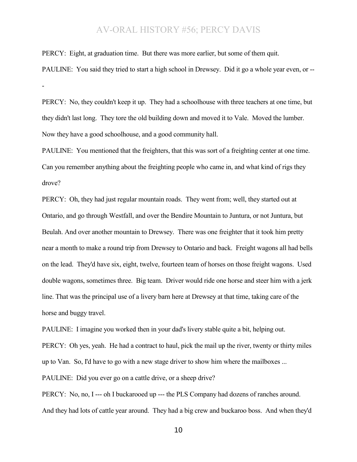PERCY: Eight, at graduation time. But there was more earlier, but some of them quit.

-

PAULINE: You said they tried to start a high school in Drewsey. Did it go a whole year even, or --

PERCY: No, they couldn't keep it up. They had a schoolhouse with three teachers at one time, but they didn't last long. They tore the old building down and moved it to Vale. Moved the lumber. Now they have a good schoolhouse, and a good community hall.

PAULINE: You mentioned that the freighters, that this was sort of a freighting center at one time. Can you remember anything about the freighting people who came in, and what kind of rigs they drove?

PERCY: Oh, they had just regular mountain roads. They went from; well, they started out at Ontario, and go through Westfall, and over the Bendire Mountain to Juntura, or not Juntura, but Beulah. And over another mountain to Drewsey. There was one freighter that it took him pretty near a month to make a round trip from Drewsey to Ontario and back. Freight wagons all had bells on the lead. They'd have six, eight, twelve, fourteen team of horses on those freight wagons. Used double wagons, sometimes three. Big team. Driver would ride one horse and steer him with a jerk line. That was the principal use of a livery barn here at Drewsey at that time, taking care of the horse and buggy travel.

PAULINE: I imagine you worked then in your dad's livery stable quite a bit, helping out.

PERCY: Oh yes, yeah. He had a contract to haul, pick the mail up the river, twenty or thirty miles

up to Van. So, I'd have to go with a new stage driver to show him where the mailboxes ...

PAULINE: Did you ever go on a cattle drive, or a sheep drive?

PERCY: No, no, I --- oh I buckarooed up --- the PLS Company had dozens of ranches around. And they had lots of cattle year around. They had a big crew and buckaroo boss. And when they'd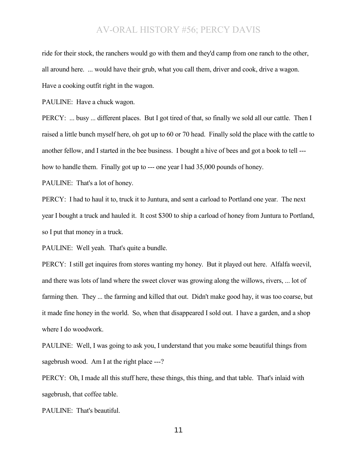ride for their stock, the ranchers would go with them and they'd camp from one ranch to the other, all around here. ... would have their grub, what you call them, driver and cook, drive a wagon. Have a cooking outfit right in the wagon.

PAULINE: Have a chuck wagon.

PERCY: ... busy ... different places. But I got tired of that, so finally we sold all our cattle. Then I raised a little bunch myself here, oh got up to 60 or 70 head. Finally sold the place with the cattle to another fellow, and I started in the bee business. I bought a hive of bees and got a book to tell -- how to handle them. Finally got up to --- one year I had 35,000 pounds of honey.

PAULINE: That's a lot of honey.

PERCY: I had to haul it to, truck it to Juntura, and sent a carload to Portland one year. The next year I bought a truck and hauled it. It cost \$300 to ship a carload of honey from Juntura to Portland, so I put that money in a truck.

PAULINE: Well yeah. That's quite a bundle.

PERCY: I still get inquires from stores wanting my honey. But it played out here. Alfalfa weevil, and there was lots of land where the sweet clover was growing along the willows, rivers, ... lot of farming then. They ... the farming and killed that out. Didn't make good hay, it was too coarse, but it made fine honey in the world. So, when that disappeared I sold out. I have a garden, and a shop where I do woodwork.

PAULINE: Well, I was going to ask you, I understand that you make some beautiful things from sagebrush wood. Am I at the right place ---?

PERCY: Oh, I made all this stuff here, these things, this thing, and that table. That's inlaid with sagebrush, that coffee table.

PAULINE: That's beautiful.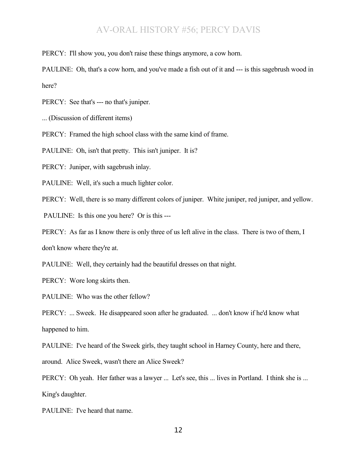PERCY: I'll show you, you don't raise these things anymore, a cow horn.

PAULINE: Oh, that's a cow horn, and you've made a fish out of it and --- is this sagebrush wood in here?

PERCY: See that's --- no that's juniper.

... (Discussion of different items)

PERCY: Framed the high school class with the same kind of frame.

PAULINE: Oh, isn't that pretty. This isn't juniper. It is?

PERCY: Juniper, with sagebrush inlay.

PAULINE: Well, it's such a much lighter color.

PERCY: Well, there is so many different colors of juniper. White juniper, red juniper, and yellow.

PAULINE: Is this one you here? Or is this ---

PERCY: As far as I know there is only three of us left alive in the class. There is two of them, I

don't know where they're at.

PAULINE: Well, they certainly had the beautiful dresses on that night.

PERCY: Wore long skirts then.

PAULINE: Who was the other fellow?

PERCY: ... Sweek. He disappeared soon after he graduated. ... don't know if he'd know what happened to him.

PAULINE: I've heard of the Sweek girls, they taught school in Harney County, here and there,

around. Alice Sweek, wasn't there an Alice Sweek?

PERCY: Oh yeah. Her father was a lawyer ... Let's see, this ... lives in Portland. I think she is ... King's daughter.

PAULINE: I've heard that name.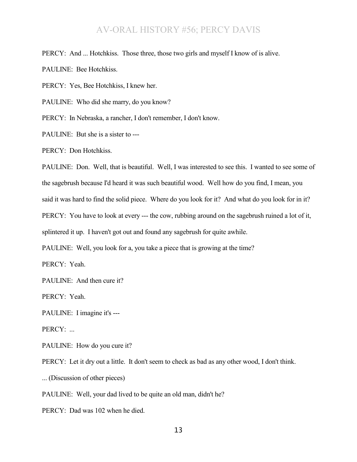PERCY: And ... Hotchkiss. Those three, those two girls and myself I know of is alive.

PAULINE: Bee Hotchkiss.

PERCY: Yes, Bee Hotchkiss, I knew her.

PAULINE: Who did she marry, do you know?

PERCY: In Nebraska, a rancher, I don't remember, I don't know.

PAULINE: But she is a sister to ---

PERCY: Don Hotchkiss.

PAULINE: Don. Well, that is beautiful. Well, I was interested to see this. I wanted to see some of the sagebrush because I'd heard it was such beautiful wood. Well how do you find, I mean, you said it was hard to find the solid piece. Where do you look for it? And what do you look for in it? PERCY: You have to look at every --- the cow, rubbing around on the sagebrush ruined a lot of it, splintered it up. I haven't got out and found any sagebrush for quite awhile.

PAULINE: Well, you look for a, you take a piece that is growing at the time?

PERCY: Yeah.

PAULINE: And then cure it?

PERCY: Yeah.

PAULINE: I imagine it's ---

PERCY: ...

PAULINE: How do you cure it?

PERCY: Let it dry out a little. It don't seem to check as bad as any other wood, I don't think.

... (Discussion of other pieces)

PAULINE: Well, your dad lived to be quite an old man, didn't he?

PERCY: Dad was 102 when he died.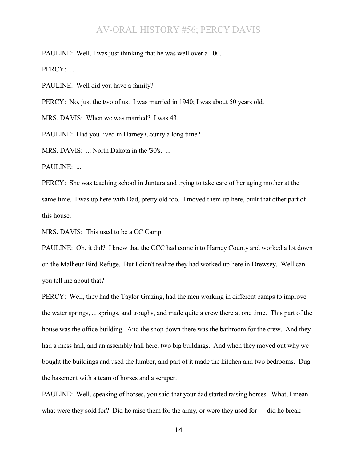PAULINE: Well, I was just thinking that he was well over a 100.

PERCY: ...

PAULINE: Well did you have a family?

PERCY: No, just the two of us. I was married in 1940; I was about 50 years old.

MRS. DAVIS: When we was married? I was 43.

PAULINE: Had you lived in Harney County a long time?

MRS. DAVIS: ... North Dakota in the '30's. ...

PAULINE: ...

PERCY: She was teaching school in Juntura and trying to take care of her aging mother at the same time. I was up here with Dad, pretty old too. I moved them up here, built that other part of this house.

MRS. DAVIS: This used to be a CC Camp.

PAULINE: Oh, it did? I knew that the CCC had come into Harney County and worked a lot down on the Malheur Bird Refuge. But I didn't realize they had worked up here in Drewsey. Well can you tell me about that?

PERCY: Well, they had the Taylor Grazing, had the men working in different camps to improve the water springs, ... springs, and troughs, and made quite a crew there at one time. This part of the house was the office building. And the shop down there was the bathroom for the crew. And they had a mess hall, and an assembly hall here, two big buildings. And when they moved out why we bought the buildings and used the lumber, and part of it made the kitchen and two bedrooms. Dug the basement with a team of horses and a scraper.

PAULINE: Well, speaking of horses, you said that your dad started raising horses. What, I mean what were they sold for? Did he raise them for the army, or were they used for --- did he break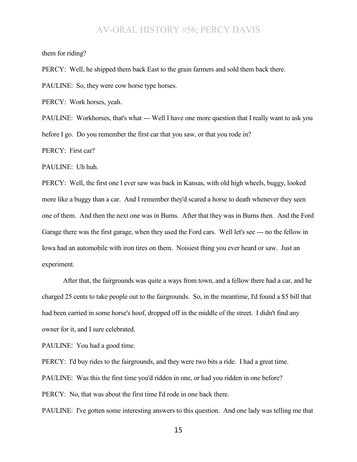them for riding?

PERCY: Well, he shipped them back East to the grain farmers and sold them back there.

PAULINE: So, they were cow horse type horses.

PERCY: Work horses, yeah.

PAULINE: Workhorses, that's what --- Well I have one more question that I really want to ask you before I go. Do you remember the first car that you saw, or that you rode in?

PERCY: First car?

PAULINE: Uh huh.

PERCY: Well, the first one I ever saw was back in Kansas, with old high wheels, buggy, looked more like a buggy than a car. And I remember they'd scared a horse to death whenever they seen one of them. And then the next one was in Burns. After that they was in Burns then. And the Ford Garage there was the first garage, when they used the Ford cars. Well let's see --- no the fellow in Iowa had an automobile with iron tires on them. Noisiest thing you ever heard or saw. Just an experiment.

After that, the fairgrounds was quite a ways from town, and a fellow there had a car, and he charged 25 cents to take people out to the fairgrounds. So, in the meantime, I'd found a \$5 bill that had been carried in some horse's hoof, dropped off in the middle of the street. I didn't find any owner for it, and I sure celebrated.

PAULINE: You had a good time.

PERCY: I'd buy rides to the fairgrounds, and they were two bits a ride. I had a great time. PAULINE: Was this the first time you'd ridden in one, or had you ridden in one before? PERCY: No, that was about the first time I'd rode in one back there.

PAULINE: I've gotten some interesting answers to this question. And one lady was telling me that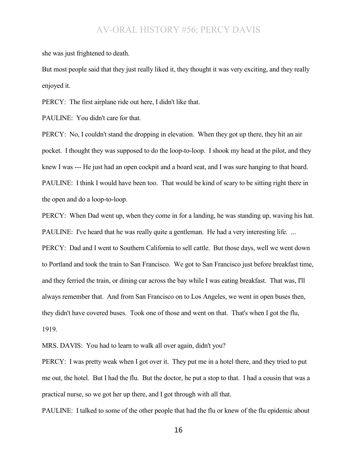she was just frightened to death.

But most people said that they just really liked it, they thought it was very exciting, and they really enjoyed it.

PERCY: The first airplane ride out here, I didn't like that.

PAULINE: You didn't care for that.

PERCY: No, I couldn't stand the dropping in elevation. When they got up there, they hit an air pocket. I thought they was supposed to do the loop-to-loop. I shook my head at the pilot, and they knew I was --- He just had an open cockpit and a board seat, and I was sure hanging to that board. PAULINE: I think I would have been too. That would be kind of scary to be sitting right there in the open and do a loop-to-loop.

PERCY: When Dad went up, when they come in for a landing, he was standing up, waving his hat. PAULINE: I've heard that he was really quite a gentleman. He had a very interesting life...

PERCY: Dad and I went to Southern California to sell cattle. But those days, well we went down to Portland and took the train to San Francisco. We got to San Francisco just before breakfast time, and they ferried the train, or dining car across the bay while I was eating breakfast. That was, I'll always remember that. And from San Francisco on to Los Angeles, we went in open buses then, they didn't have covered buses. Took one of those and went on that. That's when I got the flu, 1919.

MRS. DAVIS: You had to learn to walk all over again, didn't you?

PERCY: I was pretty weak when I got over it. They put me in a hotel there, and they tried to put me out, the hotel. But I had the flu. But the doctor, he put a stop to that. I had a cousin that was a practical nurse, so we got her up there, and I got through with all that.

PAULINE: I talked to some of the other people that had the flu or knew of the flu epidemic about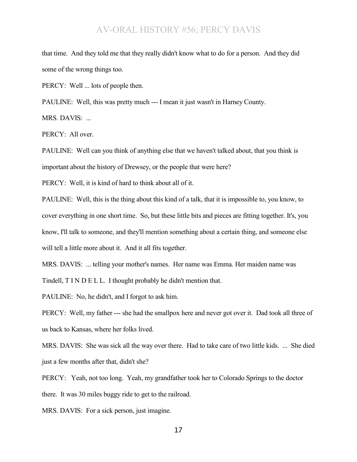that time. And they told me that they really didn't know what to do for a person. And they did some of the wrong things too.

PERCY: Well ... lots of people then.

PAULINE: Well, this was pretty much --- I mean it just wasn't in Harney County.

MRS. DAVIS: ...

PERCY: All over.

PAULINE: Well can you think of anything else that we haven't talked about, that you think is important about the history of Drewsey, or the people that were here?

PERCY: Well, it is kind of hard to think about all of it.

PAULINE: Well, this is the thing about this kind of a talk, that it is impossible to, you know, to cover everything in one short time. So, but these little bits and pieces are fitting together. It's, you know, I'll talk to someone, and they'll mention something about a certain thing, and someone else will tell a little more about it. And it all fits together.

MRS. DAVIS: ... telling your mother's names. Her name was Emma. Her maiden name was

Tindell, T I N D E L L. I thought probably he didn't mention that.

PAULINE: No, he didn't, and I forgot to ask him.

PERCY: Well, my father --- she had the smallpox here and never got over it. Dad took all three of us back to Kansas, where her folks lived.

MRS. DAVIS: She was sick all the way over there. Had to take care of two little kids. ... She died just a few months after that, didn't she?

PERCY: Yeah, not too long. Yeah, my grandfather took her to Colorado Springs to the doctor there. It was 30 miles buggy ride to get to the railroad.

MRS. DAVIS: For a sick person, just imagine.